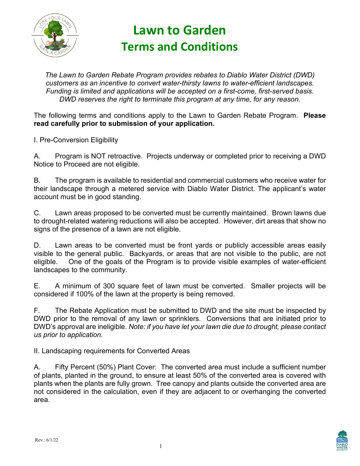

## **Lawn to Garden Terms and Conditions**

*The Lawn to Garden Rebate Program provides rebates to Diablo Water District (DWD) customers as an incentive to convert water-thirsty lawns to water-efficient landscapes. Funding is limited and applications will be accepted on a first-come, first-served basis. DWD reserves the right to terminate this program at any time, for any reason.*

The following terms and conditions apply to the Lawn to Garden Rebate Program. **Please read carefully prior to submission of your application.** 

I. Pre-Conversion Eligibility

A. Program is NOT retroactive. Projects underway or completed prior to receiving a DWD Notice to Proceed are not eligible.

B. The program is available to residential and commercial customers who receive water for their landscape through a metered service with Diablo Water District. The applicant's water account must be in good standing.

C. Lawn areas proposed to be converted must be currently maintained. Brown lawns due to drought-related watering reductions will also be accepted. However, dirt areas that show no signs of the presence of a lawn are not eligible.

D. Lawn areas to be converted must be front yards or publicly accessible areas easily visible to the general public. Backyards, or areas that are not visible to the public, are not eligible. One of the goals of the Program is to provide visible examples of water-efficient landscapes to the community.

E. A minimum of 300 square feet of lawn must be converted. Smaller projects will be considered if 100% of the lawn at the property is being removed.

F. The Rebate Application must be submitted to DWD and the site must be inspected by DWD prior to the removal of any lawn or sprinklers. Conversions that are initiated prior to DWD's approval are ineligible. *Note: if you have let your lawn die due to drought, please contact us prior to application.*

II. Landscaping requirements for Converted Areas

A. Fifty Percent (50%) Plant Cover: The converted area must include a sufficient number of plants, planted in the ground, to ensure at least 50% of the converted area is covered with plants when the plants are fully grown. Tree canopy and plants outside the converted area are not considered in the calculation, even if they are adjacent to or overhanging the converted area.

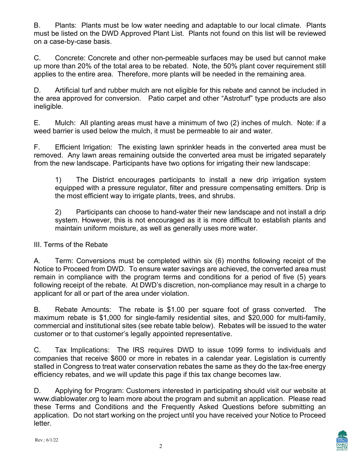B. Plants: Plants must be low water needing and adaptable to our local climate. Plants must be listed on the DWD Approved Plant List. Plants not found on this list will be reviewed on a case-by-case basis.

C. Concrete: Concrete and other non-permeable surfaces may be used but cannot make up more than 20% of the total area to be rebated. Note, the 50% plant cover requirement still applies to the entire area. Therefore, more plants will be needed in the remaining area.

D. Artificial turf and rubber mulch are not eligible for this rebate and cannot be included in the area approved for conversion. Patio carpet and other "Astroturf" type products are also ineligible.

E. Mulch: All planting areas must have a minimum of two (2) inches of mulch. Note: if a weed barrier is used below the mulch, it must be permeable to air and water.

F. Efficient Irrigation: The existing lawn sprinkler heads in the converted area must be removed. Any lawn areas remaining outside the converted area must be irrigated separately from the new landscape. Participants have two options for irrigating their new landscape:

1) The District encourages participants to install a new drip irrigation system equipped with a pressure regulator, filter and pressure compensating emitters. Drip is the most efficient way to irrigate plants, trees, and shrubs.

2) Participants can choose to hand-water their new landscape and not install a drip system. However, this is not encouraged as it is more difficult to establish plants and maintain uniform moisture, as well as generally uses more water.

## III. Terms of the Rebate

A. Term: Conversions must be completed within six (6) months following receipt of the Notice to Proceed from DWD. To ensure water savings are achieved, the converted area must remain in compliance with the program terms and conditions for a period of five (5) years following receipt of the rebate. At DWD's discretion, non-compliance may result in a charge to applicant for all or part of the area under violation.

B. Rebate Amounts: The rebate is \$1.00 per square foot of grass converted. The maximum rebate is \$1,000 for single-family residential sites, and \$20,000 for multi-family, commercial and institutional sites (see rebate table below). Rebates will be issued to the water customer or to that customer's legally appointed representative.

C. Tax Implications: The IRS requires DWD to issue 1099 forms to individuals and companies that receive \$600 or more in rebates in a calendar year. Legislation is currently stalled in Congress to treat water conservation rebates the same as they do the tax-free energy efficiency rebates, and we will update this page if this tax change becomes law.

D. Applying for Program: Customers interested in participating should visit our website at www.diablowater.org to learn more about the program and submit an application. Please read these Terms and Conditions and the Frequently Asked Questions before submitting an application. Do not start working on the project until you have received your Notice to Proceed letter.